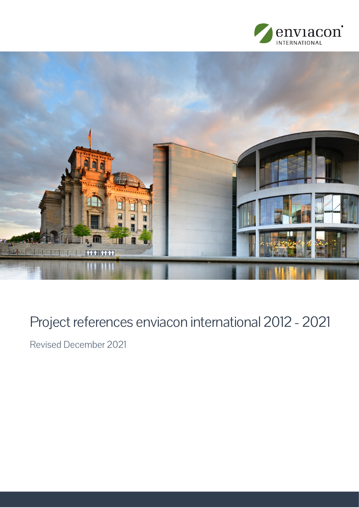



# Project references enviacon international 2012 - 2021

Revised December 2021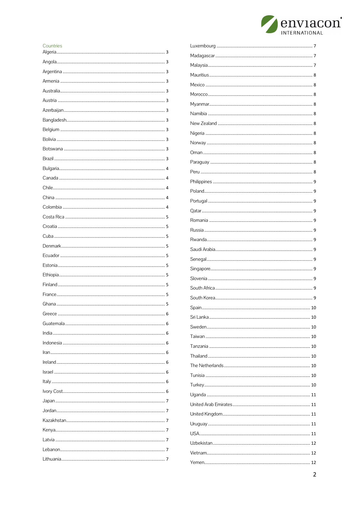

#### Countries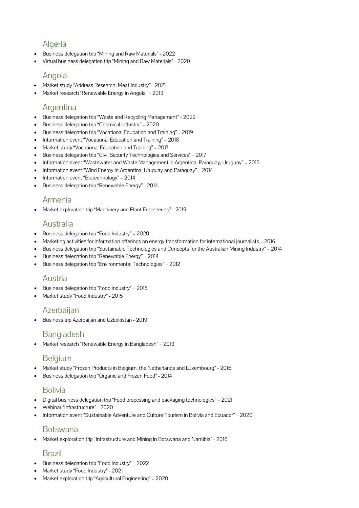# Algeria

- Business delegation trip "Mining and Raw Materials" 2022
- Virtual business delegation trip "Mining and Raw Materials" 2020

#### Angola

- Market study "Address Research: Meat Industry" 2021
- Market research "Renewable Energy in Angola" 2013

### Argentina

- Business delegation trip "Waste and Recycling Management" 2022
- Business delegation trip "Chemical Industry" 2020
- Business delegation trip "Vocational Education and Training" 2019
- Information event "Vocational Education and Training" 2018
- Market study "Vocational Education and Training" 2017
- Business delegation trip "Civil Security Technologies and Services" 2017
- Information event "Wastewater and Waste Management in Argentina, Paraguay, Uruguay" 2015
- Information event "Wind Energy in Argentina, Uruguay and Paraguay" 2014
- Information event "Biotechnology" 2014
- Business delegation trip "Renewable Energy" 2014

#### Armenia

Market exploration trip "Machinery and Plant Engineering" - 2019

#### Australia

- Business delegation trip "Food Industry" 2020
- Marketing activities for information offerings on energy transformation for international journalists 2016
- Business delegation trip "Sustainable Technologies and Concepts for the Australian Mining Industry" 2014
- Business delegation trip "Renewable Energy" 2014
- Business delegation trip "Environmental Technologies" 2012

### Austria

- Business delegation trip "Food Industry" 2015
- Market study "Food Industry" 2015

### Azerbaijan

Business trip Azerbaijan and Uzbekistan - 2019

# Bangladesh

Market research "Renewable Energy in Bangladesh" – 2013

### **Belgium**

- Market study "Frozen Products in Belgium, the Netherlands and Luxembourg" 2016
- Business delegation trip "Organic and Frozen Food" 2014

### Bolivia

- Digital business delegation trip "Food processing and packaging technologies" 2021
- Webinar "Infrastructure" 2020
- Information event "Sustainable Adventure and Culture Tourism in Bolivia and Ecuador" 2020

# Botswana

Market exploration trip "Infrastructure and Mining in Botswana and Namibia" - 2016

#### Brazil

- Business delegation trip "Food Industry" 2022
- Market study "Food Industry" 2021
- Market exploration trip "Agricultural Engineering" 2020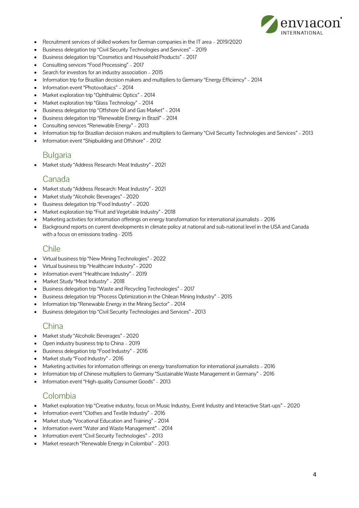

- Recruitment services of skilled workers for German companies in the IT area 2019/2020
- Business delegation trip "Civil Security Technologies and Services" 2019
- Business delegation trip "Cosmetics and Household Products" 2017
- Consulting services "Food Processing" 2017
- Search for investors for an industry association 2015
- Information trip for Brazilian decision makers and multipliers to Germany "Energy Efficiency" 2014
- Information event "Photovoltaics" 2014
- Market exploration trip "Ophthalmic Optics" 2014
- Market exploration trip "Glass Technology" 2014
- Business delegation trip "Offshore Oil and Gas Market" 2014
- Business delegation trip "Renewable Energy in Brazil" 2014
- Consulting services "Renewable Energy" 2013
- Information trip for Brazilian decision makers and multipliers to Germany "Civil Security Technologies and Services" 2013
- Information event "Shipbuilding and Offshore" 2012

### **Bulgaria**

Market study "Address Research: Meat Industry" - 2021

#### Canada

- Market study "Address Research: Meat Industry" 2021
- Market study "Alcoholic Beverages" 2020
- Business delegation trip "Food Industry" 2020
- Market exploration trip "Fruit and Vegetable Industry" 2018
- Marketing activities for information offerings on energy transformation for international journalists 2016
- Background reports on current developments in climate policy at national and sub-national level in the USA and Canada with a focus on emissions trading - 2015

#### Chile

- Virtual business trip "New Mining Technologies" 2022
- Virtual business trip "Healthcare Industry" 2020
- Information event "Healthcare Industry" 2019
- Market Study "Meat Industry" 2018
- Business delegation trip "Waste and Recycling Technologies" 2017
- Business delegation trip "Process Optimization in the Chilean Mining Industry" 2015
- Information trip "Renewable Energy in the Mining Sector" 2014
- Business delegation trip "Civil Security Technologies and Services" 2013

### **China**

- Market study "Alcoholic Beverages" 2020
- Open industry business trip to China 2019
- Business delegation trip "Food Industry" 2016
- Market study "Food Industry" 2016
- Marketing activities for information offerings on energy transformation for international journalists 2016
- Information trip of Chinese multipliers to Germany "Sustainable Waste Management in Germany" 2016
- Information event "High-quality Consumer Goods" 2013

# Colombia

- Market exploration trip "Creative industry, focus on Music Industry, Event Industry and Interactive Start-ups" 2020
- Information event "Clothes and Textile Industry" 2016
- Market study "Vocational Education and Training" 2014
- Information event "Water and Waste Management" 2014
- Information event "Civil Security Technologies" 2013
- Market research "Renewable Energy in Colombia" 2013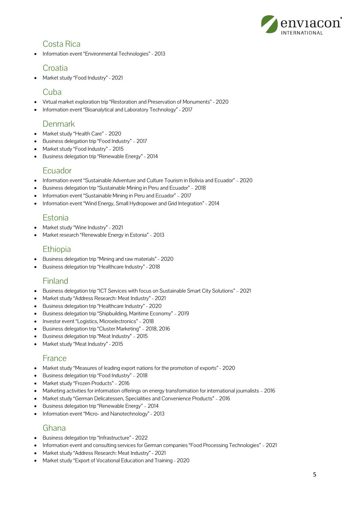

### Costa Rica

Information event "Environmental Technologies" - 2013

### **Croatia**

Market study "Food Industry" - 2021

# Cuba

- Virtual market exploration trip "Restoration and Preservation of Monuments" 2020
- Information event "Bioanalytical and Laboratory Technology" 2017

# Denmark

- Market study "Health Care" 2020
- Business delegation trip "Food Industry" 2017
- Market study "Food Industry" 2015
- Business delegation trip "Renewable Energy" 2014

#### Ecuador

- Information event "Sustainable Adventure and Culture Tourism in Bolivia and Ecuador" 2020
- Business delegation trip "Sustainable Mining in Peru and Ecuador" 2018
- Information event "Sustainable Mining in Peru and Ecuador" 2017
- Information event "Wind Energy, Small Hydropower and Grid Integration" 2014

# **Estonia**

- Market study "Wine Industry" 2021
- Market research "Renewable Energy in Estonia" 2013

# **Ethiopia**

- Business delegation trip "Mining and raw materials" 2020
- Business delegation trip "Healthcare Industry" 2018

# Finland

- Business delegation trip "ICT Services with focus on Sustainable Smart City Solutions" 2021
- Market study "Address Research: Meat Industry" 2021
- Business delegation trip "Healthcare Industry" 2020
- Business delegation trip "Shipbuilding, Maritime Economy" 2019
- Investor event "Logistics, Microelectronics" 2018
- Business delegation trip "Cluster Marketing" 2018, 2016
- Business delegation trip "Meat Industry" 2015
- Market study "Meat Industry" 2015

#### France

- Market study "Measures of leading export nations for the promotion of exports" 2020
- Business delegation trip "Food Industry" 2018
- Market study "Frozen Products" 2016
- Marketing activities for information offerings on energy transformation for international journalists 2016
- Market study "German Delicatessen, Specialities and Convenience Products" 2016
- Business delegation trip "Renewable Energy" 2014
- Information event "Micro- and Nanotechnology" 2013

# Ghana

- Business delegation trip "Infrastructure" 2022
- Information event and consulting services for German companies "Food Processing Technologies" 2021
- Market study "Address Research: Meat Industry" 2021
- Market study "Export of Vocational Education and Training 2020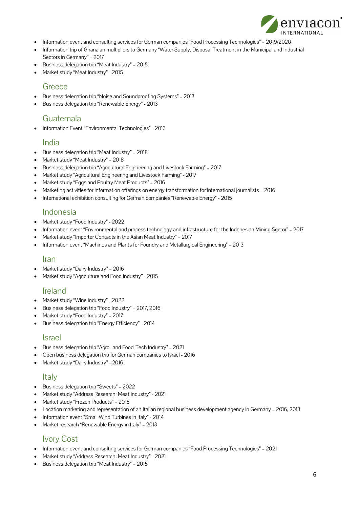

- Information event and consulting services for German companies "Food Processing Technologies" 2019/2020
- Information trip of Ghanaian multipliers to Germany "Water Supply, Disposal Treatment in the Municipal and Industrial Sectors in Germany" – 2017
- Business delegation trip "Meat Industry" 2015
- Market study "Meat Industry" 2015

#### **Greece**

- Business delegation trip "Noise and Soundproofing Systems" 2013
- Business delegation trip "Renewable Energy" 2013

#### Guatemala

Information Event "Environmental Technologies" - 2013

#### India

- Business delegation trip "Meat Industry" 2018
- Market study "Meat Industry" 2018
- Business delegation trip "Agricultural Engineering and Livestock Farming" 2017
- Market study "Agricultural Engineering and Livestock Farming" 2017
- Market study "Eggs and Poultry Meat Products" 2016
- Marketing activities for information offerings on energy transformation for international journalists 2016
- International exhibition consulting for German companies "Renewable Energy" 2015

#### Indonesia

- Market study "Food Industry" 2022
- Information event "Environmental and process technology and infrastructure for the Indonesian Mining Sector" 2017
- Market study "Importer Contacts in the Asian Meat Industry" 2017
- Information event "Machines and Plants for Foundry and Metallurgical Engineering" 2013

#### Iran

- Market study "Dairy Industry" 2016
- Market study "Agriculture and Food Industry" 2015

### Ireland

- Market study "Wine Industry" 2022
- Business delegation trip "Food Industry" 2017, 2016
- Market study "Food Industry" 2017
- Business delegation trip "Energy Efficiency" 2014

#### Israel

- Business delegation trip "Agro- and Food-Tech Industry" 2021
- Open business delegation trip for German companies to Israel 2016
- Market study "Dairy Industry" 2016

#### Italy

- Business delegation trip "Sweets" 2022
- Market study "Address Research: Meat Industry" 2021
- Market study "Frozen Products" 2016
- Location marketing and representation of an Italian regional business development agency in Germany 2016, 2013
- Information event "Small Wind Turbines in Italy" 2014
- Market research "Renewable Energy in Italy" 2013

# Ivory Cost

- Information event and consulting services for German companies "Food Processing Technologies" 2021
- Market study "Address Research: Meat Industry" 2021
- Business delegation trip "Meat Industry" 2015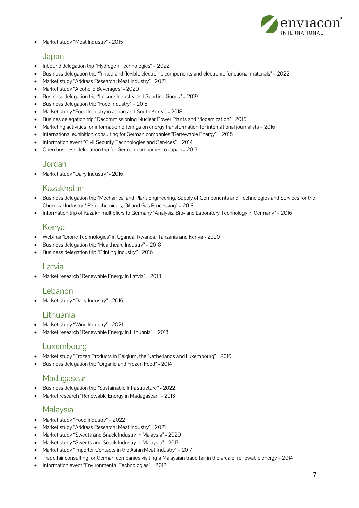

Market study "Meat Industry" - 2015

#### Japan

- Inbound delegation trip "Hydrogen Technologies" 2022
- Business delegation trip ""rinted and flexible electronic components and electronic functional materials" 2022
- Market study "Address Research: Meat Industry" 2021
- Market study "Alcoholic Beverages" 2020
- Business delegation trip "Leisure Industry and Sporting Goods" 2019
- Business delegation trip "Food Industry" 2018
- Market study "Food Industry in Japan and South Korea" 2018
- Busines delegation trip "Decommissioning Nuclear Power Plants and Modernization" 2016
- Marketing activities for information offerings on energy transformation for international journalists 2016
- International exhibition consulting for German companies "Renewable Energy" 2015
- Information event "Civil Security Technologies and Services" 2014
- Open business delegation trip for German companies to Japan 2013

#### Jordan

Market study "Dairy Industry" - 2016

#### Kazakhstan

- Business delegation trip "Mechanical and Plant Engineering, Supply of Components and Technologies and Services for the Chemical Industry / Petrochemicals, Oil and Gas Processing" – 2018
- Information trip of Kazakh multipliers to Germany "Analysis, Bio- and Laboratory Technology in Germany" 2016

### Kenya

- Webinar "Drone Technologies" in Uganda, Rwanda, Tanzania and Kenya 2020
- Business delegation trip "Healthcare Industry" 2018
- Business delegation trip "Printing Industry" 2016

#### Latvia

Market research "Renewable Energy in Latvia" – 2013

#### Lebanon

Market study "Dairy Industry" - 2016

#### Lithuania

- Market study "Wine Industry" 2021
- Market research "Renewable Energy in Lithuania" 2013

#### Luxembourg

- Market study "Frozen Products in Belgium, the Netherlands and Luxembourg" 2016
- Business delegation trip "Organic and Frozen Food" 2014

#### **Madagascar**

- Business delegation trip "Sustainable Infrastructure" 2022
- Market research "Renewable Energy in Madagascar" 2013

### **Malaysia**

- Market study "Food Industry" 2022
- Market study "Address Research: Meat Industry" 2021
- Market study "Sweets and Snack Industry in Malaysia" 2020
- Market study "Sweets and Snack Industry in Malaysia" 2017
- Market study "Importer Contacts in the Asian Meat Industry" 2017
- Trade fair consulting for German companies visiting a Malaysian trade fair in the area of renewable energy 2014
- Information event "Environmental Technologies" 2012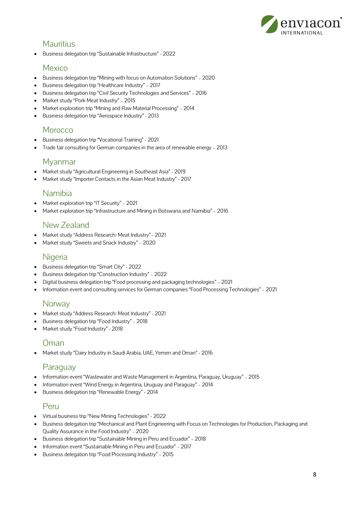

### **Mauritius**

Business delegation trip "Sustainable Infrastructure" - 2022

#### Mexico

- Business delegation trip "Mining with focus on Automation Solutions" 2020
- Business delegation trip "Healthcare Industry" 2017
- Business delegation trip "Civil Security Technologies and Services" 2016
- Market study "Pork Meat Industry" 2015
- Market exploration trip "Mining and Raw Material Processing" 2014
- Business delegation trip "Aerospace Industry" 2013

#### **Morocco**

- Business delegation trip "Vocational Training" 2021
- Trade fair consulting for German companies in the area of renewable energy 2013

#### Myanmar

- Market study "Agricultural Engineering in Southeast Asia" 2019
- Market study "Importer Contacts in the Asian Meat Industry" 2017

### Namibia

- Market exploration trip "IT Security" 2021
- Market exploration trip "Infrastructure and Mining in Botswana and Namibia" 2016

### New Zealand

- Market study "Address Research: Meat Industry" 2021
- Market study "Sweets and Snack Industry" 2020

#### **Nigeria**

- Business delegation trip "Smart City" 2022
- Business delegation trip "Construction Industry" 2022
- Digital business delegation trip "Food processing and packaging technologies" 2021
- Information event and consulting services for German companies "Food Processing Technologies" 2021

### **Norway**

- Market study "Address Research: Meat Industry" 2021
- Business delegation trip "Food Industry" 2018
- Market study "Food Industry" 2018

### Oman

Market study "Dairy Industry in Saudi Arabia, UAE, Yemen and Oman" - 2016

# Paraguay

- Information event "Wastewater and Waste Management in Argentina, Paraguay, Uruguay" 2015
- Information event "Wind Energy in Argentina, Uruguay and Paraguay" 2014
- Business delegation trip "Renewable Energy" 2014

### Peru

- Virtual business trip "New Mining Technologies" 2022
- Business delegation trip "Mechanical and Plant Engineering with Focus on Technologies for Production, Packaging and Quality Assurance in the Food Industry" – 2020
- Business delegation trip "Sustainable Mining in Peru and Ecuador" 2018
- Information event "Sustainable Mining in Peru and Ecuador" 2017
- Business delegation trip "Food Processing Industry" 2015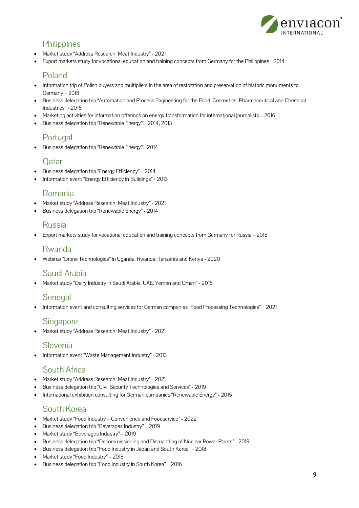

# **Philippines**

- Market study "Address Research: Meat Industry" 2021
- Export markets study for vocational education and training concepts from Germany for the Philippines 2014

#### Poland

- Information trip of Polish buyers and multipliers in the area of restoration and preservation of historic monuments to Germany – 2018
- Business delegation trip "Automation and Process Engineering for the Food, Cosmetics, Pharmaceutical and Chemical Industries" - 2016
- Marketing activities for information offerings on energy transformation for international journalists 2016
- Business delegation trip "Renewable Energy" 2014, 2013

### Portugal

Business delegation trip "Renewable Energy" - 2014

### Qatar

- Business delegation trip "Energy Efficiency" 2014
- Information event "Energy Efficiency in Buildings" 2013

#### Romania

- Market study "Address Research: Meat Industry" 2021
- Business delegation trip "Renewable Energy" 2014

#### Russia

Export markets study for vocational education and training concepts from Germany for Russia – 2018

### Rwanda

Webinar "Drone Technologies" in Uganda, Rwanda, Tanzania and Kenya - 2020

### Saudi Arabia

Market study "Dairy Industry in Saudi Arabia, UAE, Yemen and Oman" - 2016

#### **Senegal**

Information event and consulting services for German companies "Food Processing Technologies" – 2021

#### Singapore

Market study "Address Research: Meat Industry" - 2021

### Slovenia

Information event "Waste Management Industry" - 2013

### South Africa

- Market study "Address Research: Meat Industry" 2021
- Business delegation trip "Civil Security Technologies and Services" 2019
- International exhibition consulting for German companies "Renewable Energy" 2015

### South Korea

- Market study "Food Industry Convenience and Foodservice" 2022
- Business delegation trip "Beverages Industry" 2019
- Market study "Beverages Industry" 2019
- Business delegation trip "Decommissioning and Dismantling of Nuclear Power Plants" 2019
- Business delegation trip "Food Industry in Japan and South Korea" 2018
- Market study "Food Industry" 2018
- Business delegation trip "Food Industry in South Korea" 2016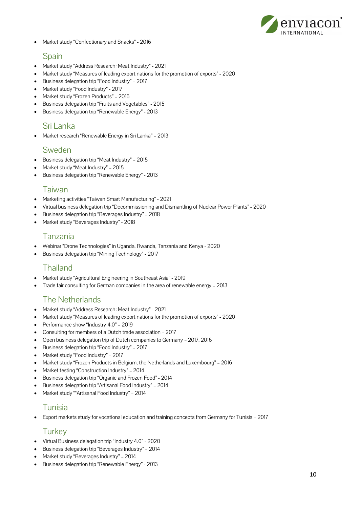

Market study "Confectionary and Snacks" - 2016

#### Spain

- Market study "Address Research: Meat Industry" 2021
- Market study "Measures of leading export nations for the promotion of exports" 2020
- Business delegation trip "Food Industry" 2017
- Market study "Food Industry" 2017
- Market study "Frozen Products" 2016
- Business delegation trip "Fruits and Vegetables" 2015
- Business delegation trip "Renewable Energy" 2013

#### Sri Lanka

Market research "Renewable Energy in Sri Lanka" – 2013

#### Sweden

- Business delegation trip "Meat Industry" 2015
- Market study "Meat Industry" 2015
- Business delegation trip "Renewable Energy" 2013

#### Taiwan

- Marketing activities "Taiwan Smart Manufacturing" 2021
- Virtual business delegation trip "Decommissioning and Dismantling of Nuclear Power Plants" 2020
- Business delegation trip "Beverages Industry" 2018
- Market study "Beverages Industry" 2018

### Tanzania

- Webinar "Drone Technologies" in Uganda, Rwanda, Tanzania and Kenya 2020
- Business delegation trip "Mining Technology" 2017

# Thailand

- Market study "Agricultural Engineering in Southeast Asia" 2019
- Trade fair consulting for German companies in the area of renewable energy 2013

# The Netherlands

- Market study "Address Research: Meat Industry" 2021
- Market study "Measures of leading export nations for the promotion of exports" 2020
- Performance show "Industry 4.0" 2019
- Consulting for members of a Dutch trade association 2017
- Open business delegation trip of Dutch companies to Germany 2017, 2016
- Business delegation trip "Food Industry" 2017
- Market study "Food Industry" 2017
- Market study "Frozen Products in Belgium, the Netherlands and Luxembourg" 2016
- Market testing "Construction Industry" 2014
- Business delegation trip "Organic and Frozen Food" 2014
- Business delegation trip "Artisanal Food Industry" 2014
- Market study ""Artisanal Food Industry" 2014

### Tunisia

Export markets study for vocational education and training concepts from Germany for Tunisia – 2017

### **Turkey**

- Virtual Business delegation trip "Industry 4.0" 2020
- Business delegation trip "Beverages Industry" 2014
- Market study "Beverages Industry" 2014
- Business delegation trip "Renewable Energy" 2013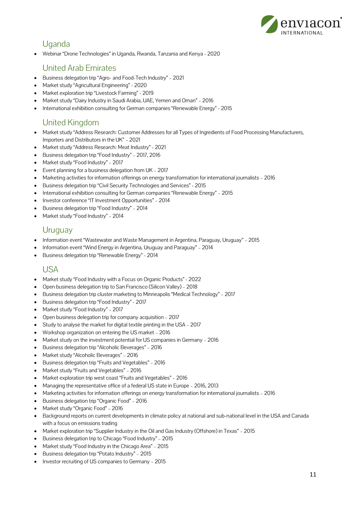

# Uganda

Webinar "Drone Technologies" in Uganda, Rwanda, Tanzania and Kenya - 2020

# United Arab Emirates

- Business delegation trip "Agro- and Food-Tech Industry" 2021
- Market study "Agricultural Engineering" 2020
- Market exploration trip "Livestock Farming" 2019
- Market study "Dairy Industry in Saudi Arabia, UAE, Yemen and Oman" 2016
- International exhibition consulting for German companies "Renewable Energy" 2015

# United Kingdom

- Market study "Address Research: Customer Addresses for all Types of Ingredients of Food Processing Manufacturers, Importers and Distributors in the UK" – 2021
- Market study "Address Research: Meat Industry" 2021
- Business delegation trip "Food Industry" 2017, 2016
- Market study "Food Industry" 2017
- Event planning for a business delegation from UK 2017
- Marketing activities for information offerings on energy transformation for international journalists 2016
- Business delegation trip "Civil Security Technologies and Services" 2015
- International exhibition consulting for German companies "Renewable Energy" 2015
- Investor conference "IT Investment Opportunities" 2014
- Business delegation trip "Food Industry" 2014
- Market study "Food Industry" 2014

### **Uruguay**

- Information event "Wastewater and Waste Management in Argentina, Paraguay, Uruguay" 2015
- Information event "Wind Energy in Argentina, Uruguay and Paraguay" 2014
- Business delegation trip "Renewable Energy" 2014

### USA

- Market study "Food Industry with a Focus on Organic Products" 2022
- Open business delegation trip to San Francisco (Silicon Valley) 2018
- Business delegation trip cluster marketing to Minneapolis "Medical Technology" 2017
- Business delegation trip "Food Industry" 2017
- Market study "Food Industry" 2017
- Open business delegation trip for company acquisition 2017
- Study to analyse the market for digital textile printing in the USA 2017
- Workshop organization on entering the US market 2016
- Market study on the investment potential for US companies in Germany 2016
- Business delegation trip "Alcoholic Beverages" 2016
- Market study "Alcoholic Beverages" 2016
- Business delegation trip "Fruits and Vegetables" 2016
- Market study "Fruits and Vegetables" 2016
- Market exploration trip west coast "Fruits and Vegetables" 2016
- Managing the representative office of a federal US state in Europe 2016, 2013
- Marketing activities for information offerings on energy transformation for international journalists 2016
- Business delegation trip "Organic Food" 2016
- Market study "Organic Food" 2016
- Background reports on current developments in climate policy at national and sub-national level in the USA and Canada with a focus on emissions trading
- Market exploration trip "Supplier Industry in the Oil and Gas Industry (Offshore) in Texas" 2015
- Business delegation trip to Chicago "Food Industry" 2015
- Market study "Food Industry in the Chicago Area" 2015
- Business delegation trip "Potato Industry" 2015
- Investor recruiting of US companies to Germany 2015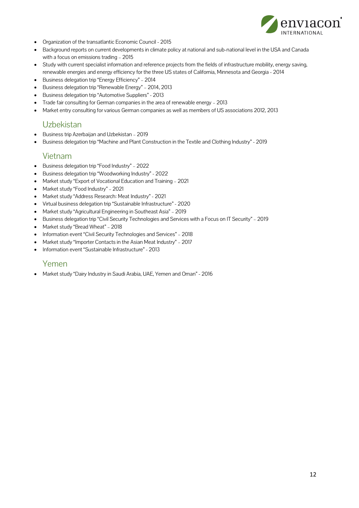

- Organization of the transatlantic Economic Council 2015
- Background reports on current developments in climate policy at national and sub-national level in the USA and Canada with a focus on emissions trading – 2015
- Study with current specialist information and reference projects from the fields of infrastructure mobility, energy saving, renewable energies and energy efficiency for the three US states of California, Minnesota and Georgia - 2014
- Business delegation trip "Energy Efficiency" 2014
- Business delegation trip "Renewable Energy" 2014, 2013
- Business delegation trip "Automotive Suppliers" 2013
- Trade fair consulting for German companies in the area of renewable energy 2013
- Market entry consulting for various German companies as well as members of US associations 2012, 2013

### **Uzbekistan**

- Business trip Azerbaijan and Uzbekistan 2019
- Business delegation trip "Machine and Plant Construction in the Textile and Clothing Industry" 2019

#### Vietnam

- Business delegation trip "Food Industry" 2022
- Business delegation trip "Woodworking Industry" 2022
- Market study "Export of Vocational Education and Training 2021
- Market study "Food Industry" 2021
- Market study "Address Research: Meat Industry" 2021
- Virtual business delegation trip "Sustainable Infrastructure" 2020
- Market study "Agricultural Engineering in Southeast Asia" 2019
- Business delegation trip "Civil Security Technologies and Services with a Focus on IT Security" 2019
- Market study "Bread Wheat" 2018
- Information event "Civil Security Technologies and Services" 2018
- Market study "Importer Contacts in the Asian Meat Industry" 2017
- Information event "Sustainable Infrastructure" 2013

#### Yemen

Market study "Dairy Industry in Saudi Arabia, UAE, Yemen and Oman" - 2016